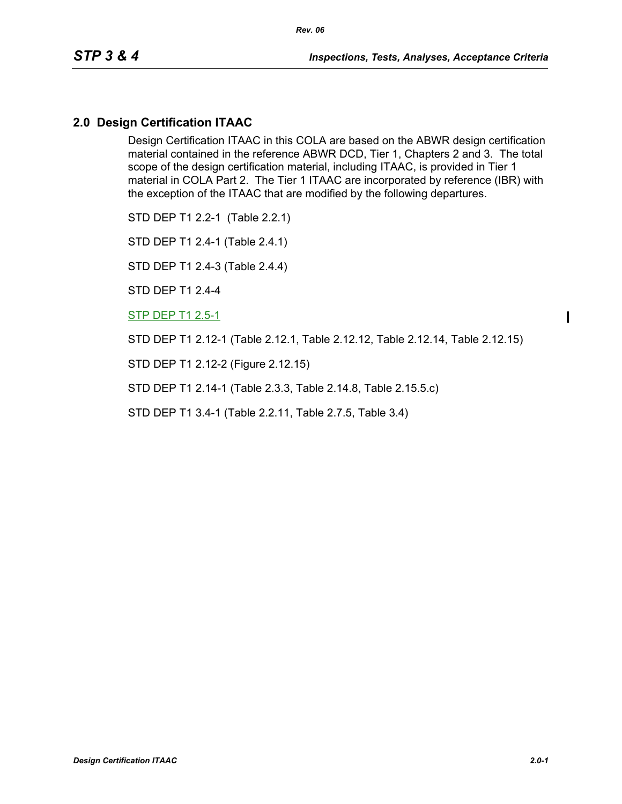### **2.0 Design Certification ITAAC**

Design Certification ITAAC in this COLA are based on the ABWR design certification material contained in the reference ABWR DCD, Tier 1, Chapters 2 and 3. The total scope of the design certification material, including ITAAC, is provided in Tier 1 material in COLA Part 2. The Tier 1 ITAAC are incorporated by reference (IBR) with the exception of the ITAAC that are modified by the following departures.

STD DEP T1 2.2-1 (Table 2.2.1)

STD DEP T1 2.4-1 (Table 2.4.1)

STD DEP T1 2.4-3 (Table 2.4.4)

STD DEP T1 2.4-4

STP DEP T1 2.5-1

STD DEP T1 2.12-1 (Table 2.12.1, Table 2.12.12, Table 2.12.14, Table 2.12.15)

STD DEP T1 2.12-2 (Figure 2.12.15)

STD DEP T1 2.14-1 (Table 2.3.3, Table 2.14.8, Table 2.15.5.c)

STD DEP T1 3.4-1 (Table 2.2.11, Table 2.7.5, Table 3.4)

Ι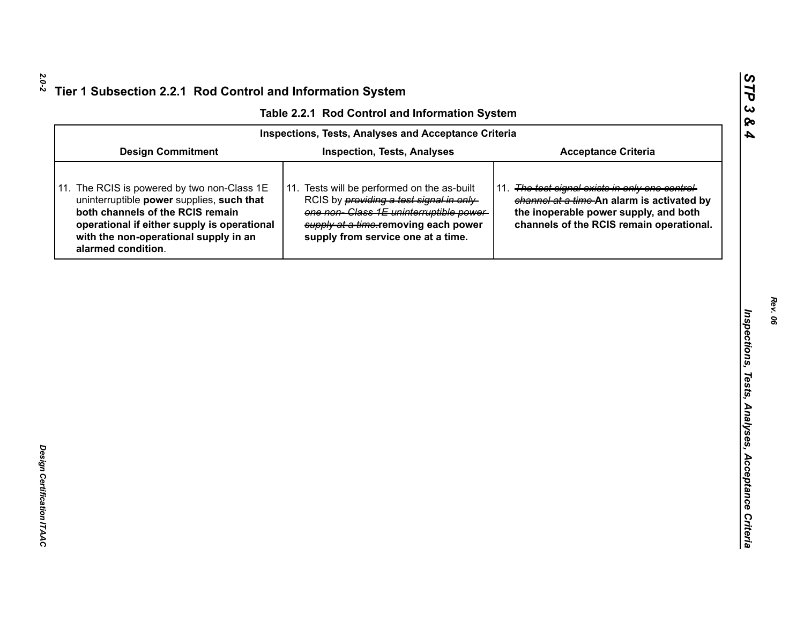|  | Table 2.2.1 Rod Control and Information System |  |
|--|------------------------------------------------|--|
|  |                                                |  |

|                                                                                                                                                                                                                                            | Table 2.2.1 Rod Control and Information System                                                                                                                                                                         |                                                                                                                                                                                    |
|--------------------------------------------------------------------------------------------------------------------------------------------------------------------------------------------------------------------------------------------|------------------------------------------------------------------------------------------------------------------------------------------------------------------------------------------------------------------------|------------------------------------------------------------------------------------------------------------------------------------------------------------------------------------|
|                                                                                                                                                                                                                                            | <b>Inspections, Tests, Analyses and Acceptance Criteria</b>                                                                                                                                                            |                                                                                                                                                                                    |
| <b>Design Commitment</b>                                                                                                                                                                                                                   | <b>Inspection, Tests, Analyses</b>                                                                                                                                                                                     | <b>Acceptance Criteria</b>                                                                                                                                                         |
| 11. The RCIS is powered by two non-Class 1E<br>uninterruptible power supplies, such that<br>both channels of the RCIS remain<br>operational if either supply is operational<br>with the non-operational supply in an<br>alarmed condition. | 11. Tests will be performed on the as-built<br>RCIS by <i>providing a test signal in only</i><br>one non-Class 1E uninterruptible power-<br>supply at a time-removing each power<br>supply from service one at a time. | 11. The test signal exists in only one control-<br>channel at a time-An alarm is activated by<br>the inoperable power supply, and both<br>channels of the RCIS remain operational. |
|                                                                                                                                                                                                                                            |                                                                                                                                                                                                                        |                                                                                                                                                                                    |
|                                                                                                                                                                                                                                            |                                                                                                                                                                                                                        |                                                                                                                                                                                    |
|                                                                                                                                                                                                                                            |                                                                                                                                                                                                                        |                                                                                                                                                                                    |
|                                                                                                                                                                                                                                            |                                                                                                                                                                                                                        |                                                                                                                                                                                    |
|                                                                                                                                                                                                                                            |                                                                                                                                                                                                                        |                                                                                                                                                                                    |
|                                                                                                                                                                                                                                            |                                                                                                                                                                                                                        |                                                                                                                                                                                    |
|                                                                                                                                                                                                                                            |                                                                                                                                                                                                                        |                                                                                                                                                                                    |
|                                                                                                                                                                                                                                            |                                                                                                                                                                                                                        |                                                                                                                                                                                    |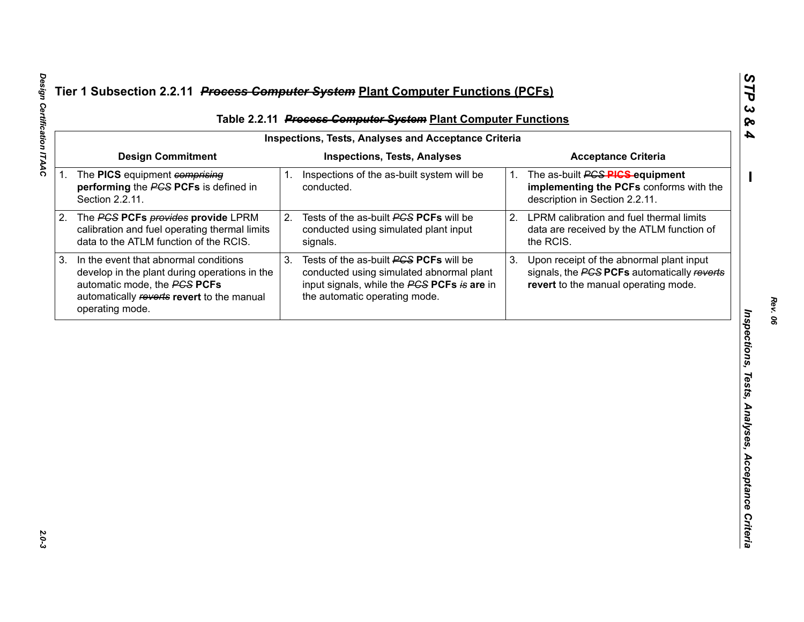|    |                                                                                                                                                                                         |    | Table 2.2.11 Process Computer System Plant Computer Functions                                                                                                      |    |                                                                                                                                 |
|----|-----------------------------------------------------------------------------------------------------------------------------------------------------------------------------------------|----|--------------------------------------------------------------------------------------------------------------------------------------------------------------------|----|---------------------------------------------------------------------------------------------------------------------------------|
|    |                                                                                                                                                                                         |    | <b>Inspections, Tests, Analyses and Acceptance Criteria</b>                                                                                                        |    |                                                                                                                                 |
|    | <b>Design Commitment</b>                                                                                                                                                                |    | <b>Inspections, Tests, Analyses</b>                                                                                                                                |    | <b>Acceptance Criteria</b>                                                                                                      |
|    | 1. The PICS equipment comprising<br>performing the PCS PCFs is defined in<br>Section 2.2.11.                                                                                            | 1. | Inspections of the as-built system will be<br>conducted.                                                                                                           | 1. | The as-built <b>PGS PIGS</b> -equipment<br>implementing the PCFs conforms with the<br>description in Section 2.2.11.            |
| 2. | The PGS PCFs provides provide LPRM<br>calibration and fuel operating thermal limits<br>data to the ATLM function of the RCIS.                                                           | 2. | Tests of the as-built PCS PCFs will be<br>conducted using simulated plant input<br>signals.                                                                        | 2. | LPRM calibration and fuel thermal limits<br>data are received by the ATLM function of<br>the RCIS.                              |
| 3. | In the event that abnormal conditions<br>develop in the plant during operations in the<br>automatic mode, the PCS PCFs<br>automatically reverts revert to the manual<br>operating mode. | 3. | Tests of the as-built PCS PCFs will be<br>conducted using simulated abnormal plant<br>input signals, while the PCS PCFs is are in<br>the automatic operating mode. | 3. | Upon receipt of the abnormal plant input<br>signals, the PCS PCFs automatically reverts<br>revert to the manual operating mode. |
|    |                                                                                                                                                                                         |    |                                                                                                                                                                    |    |                                                                                                                                 |
|    |                                                                                                                                                                                         |    |                                                                                                                                                                    |    |                                                                                                                                 |
|    |                                                                                                                                                                                         |    |                                                                                                                                                                    |    |                                                                                                                                 |
|    |                                                                                                                                                                                         |    |                                                                                                                                                                    |    |                                                                                                                                 |
|    |                                                                                                                                                                                         |    |                                                                                                                                                                    |    |                                                                                                                                 |
|    |                                                                                                                                                                                         |    |                                                                                                                                                                    |    |                                                                                                                                 |
|    |                                                                                                                                                                                         |    |                                                                                                                                                                    |    |                                                                                                                                 |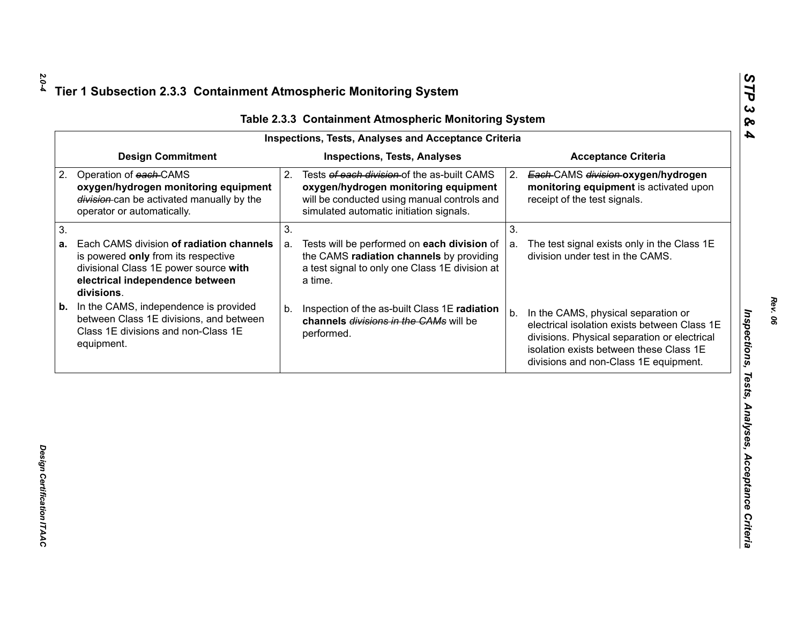| <b>Design Commitment</b><br><b>Inspections, Tests, Analyses</b><br><b>Acceptance Criteria</b><br>Operation of each-CAMS<br>Tests of each division of the as-built CAMS<br>2.<br>Each-CAMS division-oxygen/hydrogen<br>2.<br>oxygen/hydrogen monitoring equipment<br>oxygen/hydrogen monitoring equipment<br>monitoring equipment is activated upon<br>division-can be activated manually by the<br>will be conducted using manual controls and<br>receipt of the test signals.<br>simulated automatic initiation signals.<br>operator or automatically.<br>3.<br>3.<br>Each CAMS division of radiation channels<br>Tests will be performed on each division of<br>The test signal exists only in the Class 1E<br>a.<br>a.<br>the CAMS radiation channels by providing<br>division under test in the CAMS.<br>is powered only from its respective<br>a test signal to only one Class 1E division at<br>divisional Class 1E power source with |  |
|---------------------------------------------------------------------------------------------------------------------------------------------------------------------------------------------------------------------------------------------------------------------------------------------------------------------------------------------------------------------------------------------------------------------------------------------------------------------------------------------------------------------------------------------------------------------------------------------------------------------------------------------------------------------------------------------------------------------------------------------------------------------------------------------------------------------------------------------------------------------------------------------------------------------------------------------|--|
| 2.                                                                                                                                                                                                                                                                                                                                                                                                                                                                                                                                                                                                                                                                                                                                                                                                                                                                                                                                          |  |
| 3.<br>а.                                                                                                                                                                                                                                                                                                                                                                                                                                                                                                                                                                                                                                                                                                                                                                                                                                                                                                                                    |  |
|                                                                                                                                                                                                                                                                                                                                                                                                                                                                                                                                                                                                                                                                                                                                                                                                                                                                                                                                             |  |
| electrical independence between<br>a time.<br>divisions.                                                                                                                                                                                                                                                                                                                                                                                                                                                                                                                                                                                                                                                                                                                                                                                                                                                                                    |  |
| In the CAMS, independence is provided<br>b.<br>Inspection of the as-built Class 1E radiation<br>b.<br>In the CAMS, physical separation or<br>b.<br>between Class 1E divisions, and between<br>channels divisions in the CAMs will be<br>electrical isolation exists between Class 1E<br>Class 1E divisions and non-Class 1E<br>performed.<br>divisions. Physical separation or electrical<br>equipment.<br>isolation exists between these Class 1E<br>divisions and non-Class 1E equipment.                                                                                                                                                                                                                                                                                                                                                                                                                                                 |  |

Design Certification ITAAC *Design Certification ITAAC* 

*Rev. 06*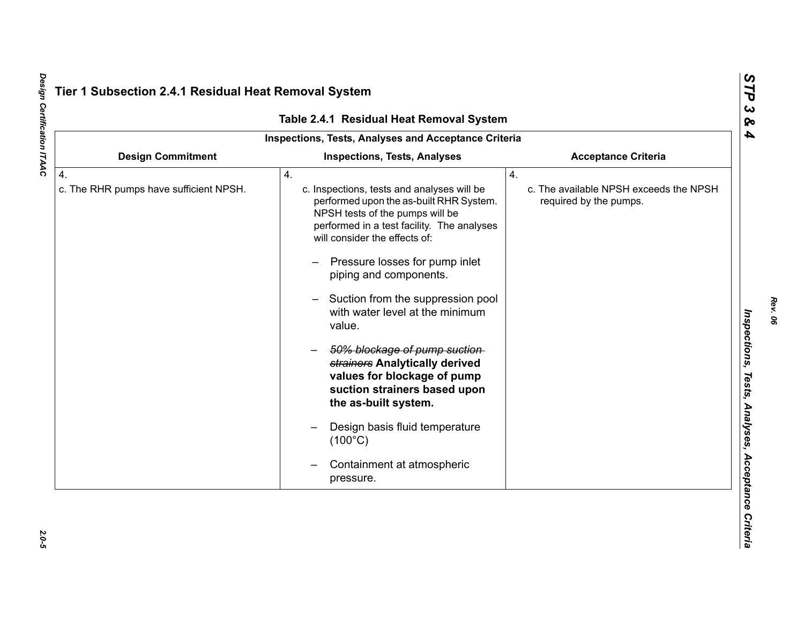|                                                            | Table 2.4.1 Residual Heat Removal System                                                                                                                                                                                                                                                                                                                                                                                                                                                                                                                                                                               |                                                                        |
|------------------------------------------------------------|------------------------------------------------------------------------------------------------------------------------------------------------------------------------------------------------------------------------------------------------------------------------------------------------------------------------------------------------------------------------------------------------------------------------------------------------------------------------------------------------------------------------------------------------------------------------------------------------------------------------|------------------------------------------------------------------------|
|                                                            | Inspections, Tests, Analyses and Acceptance Criteria                                                                                                                                                                                                                                                                                                                                                                                                                                                                                                                                                                   |                                                                        |
| <b>Design Commitment</b>                                   | <b>Inspections, Tests, Analyses</b>                                                                                                                                                                                                                                                                                                                                                                                                                                                                                                                                                                                    | <b>Acceptance Criteria</b>                                             |
| $\overline{4}$ .<br>c. The RHR pumps have sufficient NPSH. | 4.<br>c. Inspections, tests and analyses will be<br>performed upon the as-built RHR System.<br>NPSH tests of the pumps will be<br>performed in a test facility. The analyses<br>will consider the effects of:<br>Pressure losses for pump inlet<br>piping and components.<br>Suction from the suppression pool<br>with water level at the minimum<br>value.<br>50% blockage of pump suction-<br>strainers Analytically derived<br>values for blockage of pump<br>suction strainers based upon<br>the as-built system.<br>Design basis fluid temperature<br>$(100^{\circ}C)$<br>Containment at atmospheric<br>pressure. | 4.<br>c. The available NPSH exceeds the NPSH<br>required by the pumps. |

Design Certification ITAAC *Design Certification ITAAC 2.0-5*

 $2.0 - 5$ 

*Rev. 06*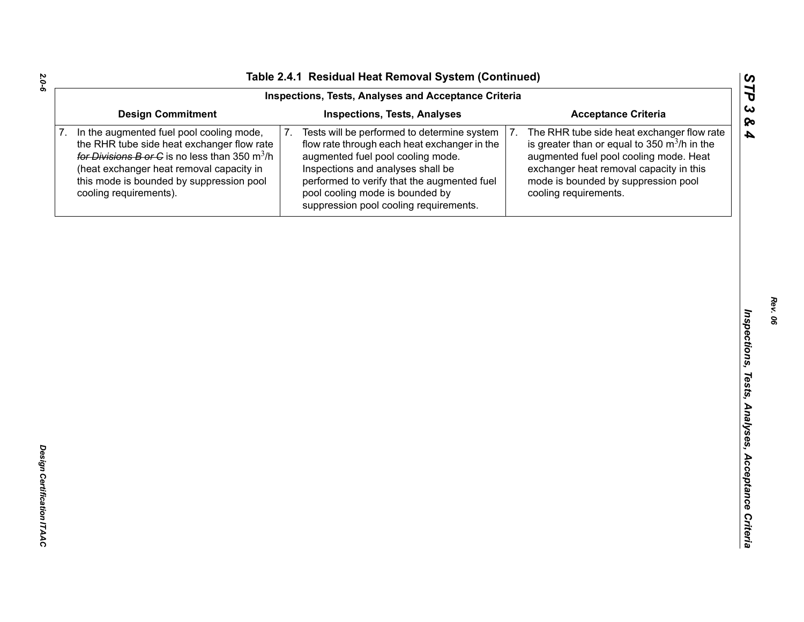|    |                                                                                                                                                                                                                                                                                | Inspections, Tests, Analyses and Acceptance Criteria                                                                                                                                                                                                                                                    |                                                                                                                                                                                                                                                                   |
|----|--------------------------------------------------------------------------------------------------------------------------------------------------------------------------------------------------------------------------------------------------------------------------------|---------------------------------------------------------------------------------------------------------------------------------------------------------------------------------------------------------------------------------------------------------------------------------------------------------|-------------------------------------------------------------------------------------------------------------------------------------------------------------------------------------------------------------------------------------------------------------------|
|    | <b>Design Commitment</b>                                                                                                                                                                                                                                                       | <b>Inspections, Tests, Analyses</b>                                                                                                                                                                                                                                                                     | <b>Acceptance Criteria</b>                                                                                                                                                                                                                                        |
| 7. | In the augmented fuel pool cooling mode,<br>the RHR tube side heat exchanger flow rate<br>for Divisions B or C is no less than 350 $\mathrm{m}^3/\mathrm{h}$<br>(heat exchanger heat removal capacity in<br>this mode is bounded by suppression pool<br>cooling requirements). | 7.<br>Tests will be performed to determine system<br>flow rate through each heat exchanger in the<br>augmented fuel pool cooling mode.<br>Inspections and analyses shall be<br>performed to verify that the augmented fuel<br>pool cooling mode is bounded by<br>suppression pool cooling requirements. | 7.<br>The RHR tube side heat exchanger flow rate<br>is greater than or equal to 350 $\mathrm{m}^3$ /h in the<br>augmented fuel pool cooling mode. Heat<br>exchanger heat removal capacity in this<br>mode is bounded by suppression pool<br>cooling requirements. |
|    |                                                                                                                                                                                                                                                                                |                                                                                                                                                                                                                                                                                                         |                                                                                                                                                                                                                                                                   |
|    |                                                                                                                                                                                                                                                                                |                                                                                                                                                                                                                                                                                                         |                                                                                                                                                                                                                                                                   |
|    |                                                                                                                                                                                                                                                                                |                                                                                                                                                                                                                                                                                                         |                                                                                                                                                                                                                                                                   |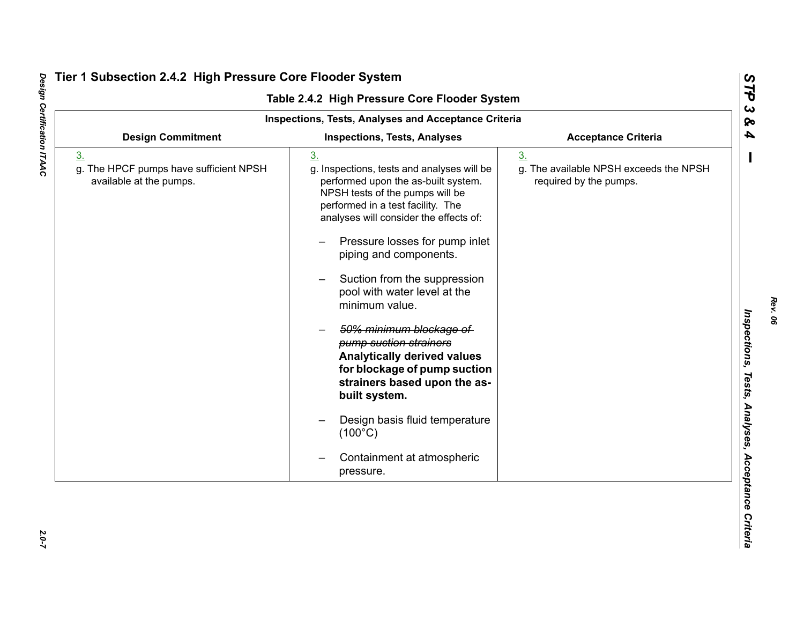|                                                                                     | <b>Inspections, Tests, Analyses and Acceptance Criteria</b>                                                                                                                                                                                                                                                                                                                                                                                                                                                                                                                                                                                      |                                                                                    |
|-------------------------------------------------------------------------------------|--------------------------------------------------------------------------------------------------------------------------------------------------------------------------------------------------------------------------------------------------------------------------------------------------------------------------------------------------------------------------------------------------------------------------------------------------------------------------------------------------------------------------------------------------------------------------------------------------------------------------------------------------|------------------------------------------------------------------------------------|
| <b>Design Commitment</b>                                                            | <b>Inspections, Tests, Analyses</b>                                                                                                                                                                                                                                                                                                                                                                                                                                                                                                                                                                                                              | <b>Acceptance Criteria</b>                                                         |
| 3 <sub>1</sub><br>g. The HPCF pumps have sufficient NPSH<br>available at the pumps. | 3 <sub>l</sub><br>g. Inspections, tests and analyses will be<br>performed upon the as-built system.<br>NPSH tests of the pumps will be<br>performed in a test facility. The<br>analyses will consider the effects of:<br>Pressure losses for pump inlet<br>piping and components.<br>Suction from the suppression<br>pool with water level at the<br>minimum value.<br>50% minimum blockage of<br>pump suction strainers<br><b>Analytically derived values</b><br>for blockage of pump suction<br>strainers based upon the as-<br>built system.<br>Design basis fluid temperature<br>$(100^{\circ}C)$<br>Containment at atmospheric<br>pressure. | 3 <sub>1</sub><br>g. The available NPSH exceeds the NPSH<br>required by the pumps. |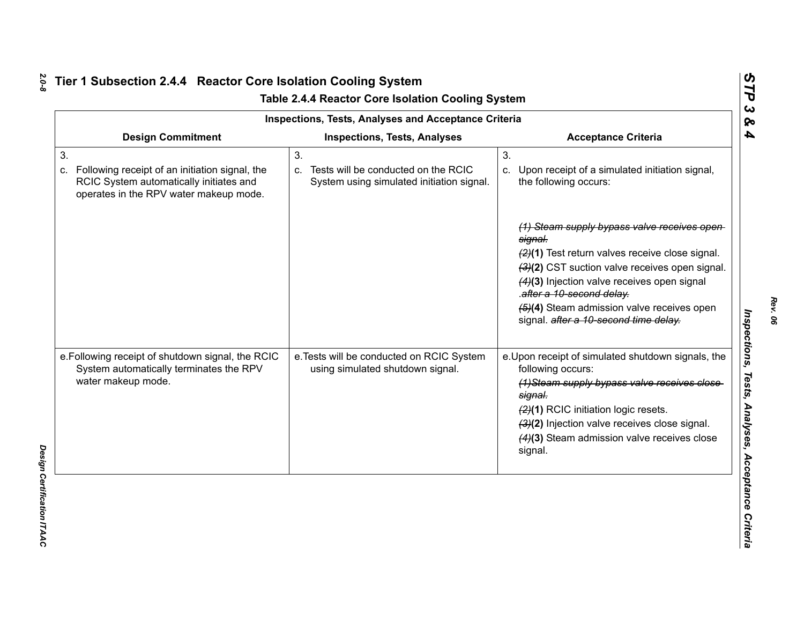|                                                                                                                                                 | Inspections, Tests, Analyses and Acceptance Criteria                                         |                                                                                                                                                                                                                                                                                                                                  |
|-------------------------------------------------------------------------------------------------------------------------------------------------|----------------------------------------------------------------------------------------------|----------------------------------------------------------------------------------------------------------------------------------------------------------------------------------------------------------------------------------------------------------------------------------------------------------------------------------|
| <b>Design Commitment</b>                                                                                                                        | <b>Inspections, Tests, Analyses</b>                                                          | <b>Acceptance Criteria</b>                                                                                                                                                                                                                                                                                                       |
| 3.<br>Following receipt of an initiation signal, the<br>C.<br>RCIC System automatically initiates and<br>operates in the RPV water makeup mode. | 3.<br>Tests will be conducted on the RCIC<br>C.<br>System using simulated initiation signal. | 3.<br>Upon receipt of a simulated initiation signal,<br>C.<br>the following occurs:                                                                                                                                                                                                                                              |
|                                                                                                                                                 |                                                                                              | (1) Steam supply bypass valve receives open<br>signal.<br>$(2)(1)$ Test return valves receive close signal.<br>(3)(2) CST suction valve receives open signal.<br>(4)(3) Injection valve receives open signal<br>.after a 10-second delay.<br>(5)(4) Steam admission valve receives open<br>signal. after a 10-second time delay. |
| e. Following receipt of shutdown signal, the RCIC<br>System automatically terminates the RPV<br>water makeup mode.                              | e. Tests will be conducted on RCIC System<br>using simulated shutdown signal.                | e. Upon receipt of simulated shutdown signals, the<br>following occurs:<br>(1) Steam supply bypass valve receives close<br>signal.<br>(2)(1) RCIC initiation logic resets.<br>(3)(2) Injection valve receives close signal.<br>$(4)(3)$ Steam admission valve receives close<br>signal.                                          |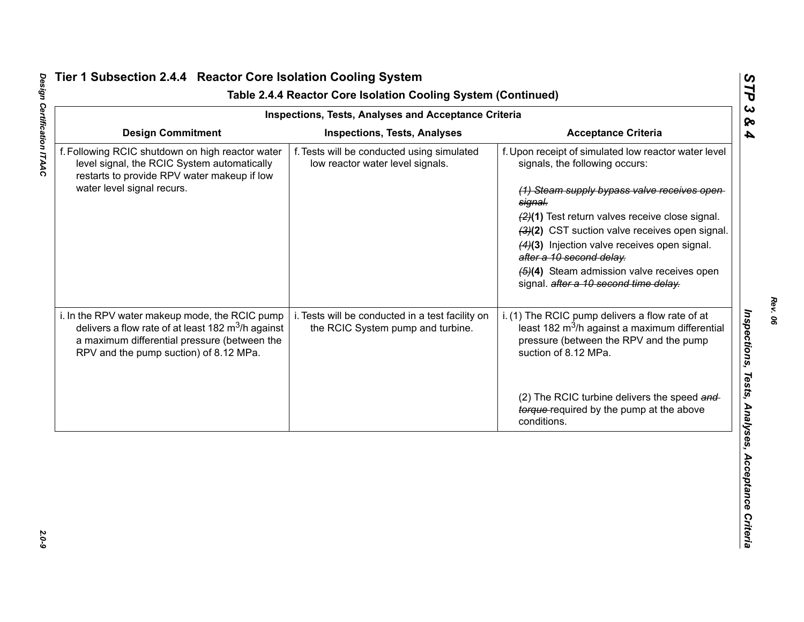|                                                                                                                                                                                                          | <b>Inspections, Tests, Analyses and Acceptance Criteria</b>                           |                                                                                                                                                                                                                                                                                                                                                                                                                                    |
|----------------------------------------------------------------------------------------------------------------------------------------------------------------------------------------------------------|---------------------------------------------------------------------------------------|------------------------------------------------------------------------------------------------------------------------------------------------------------------------------------------------------------------------------------------------------------------------------------------------------------------------------------------------------------------------------------------------------------------------------------|
| <b>Design Commitment</b>                                                                                                                                                                                 | <b>Inspections, Tests, Analyses</b>                                                   | <b>Acceptance Criteria</b>                                                                                                                                                                                                                                                                                                                                                                                                         |
| f. Following RCIC shutdown on high reactor water<br>level signal, the RCIC System automatically<br>restarts to provide RPV water makeup if low<br>water level signal recurs.                             | f. Tests will be conducted using simulated<br>low reactor water level signals.        | f. Upon receipt of simulated low reactor water level<br>signals, the following occurs:<br>(1) Steam supply bypass valve receives open<br>signal.<br>(2)(1) Test return valves receive close signal.<br>(3)(2) CST suction valve receives open signal.<br>(4)(3) Injection valve receives open signal.<br>after a 10 second delay.<br>$\left(4\right)$ Steam admission valve receives open<br>signal. after a 10 second time delay. |
| i. In the RPV water makeup mode, the RCIC pump<br>delivers a flow rate of at least 182 $\text{m}^3$ /h against<br>a maximum differential pressure (between the<br>RPV and the pump suction) of 8.12 MPa. | i. Tests will be conducted in a test facility on<br>the RCIC System pump and turbine. | i. (1) The RCIC pump delivers a flow rate of at<br>least 182 m <sup>3</sup> /h against a maximum differential<br>pressure (between the RPV and the pump<br>suction of 8.12 MPa.                                                                                                                                                                                                                                                    |
|                                                                                                                                                                                                          |                                                                                       | (2) The RCIC turbine delivers the speed and<br>torque-required by the pump at the above<br>conditions.                                                                                                                                                                                                                                                                                                                             |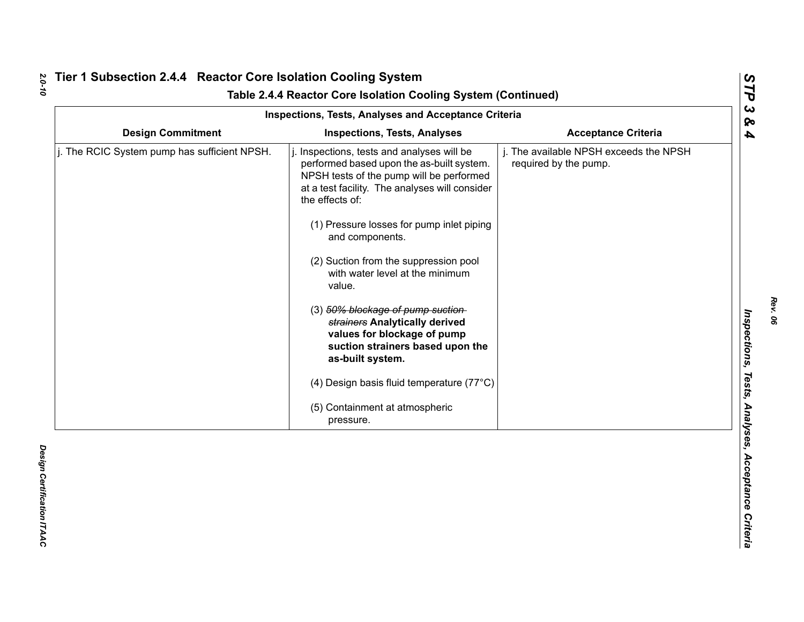|                                              | <b>Inspections, Tests, Analyses and Acceptance Criteria</b>                                                                                                                                                                                                                                                                                                                                                                                                                                                                                                                                                           |                                                                 |
|----------------------------------------------|-----------------------------------------------------------------------------------------------------------------------------------------------------------------------------------------------------------------------------------------------------------------------------------------------------------------------------------------------------------------------------------------------------------------------------------------------------------------------------------------------------------------------------------------------------------------------------------------------------------------------|-----------------------------------------------------------------|
| <b>Design Commitment</b>                     | <b>Inspections, Tests, Analyses</b>                                                                                                                                                                                                                                                                                                                                                                                                                                                                                                                                                                                   | <b>Acceptance Criteria</b>                                      |
| j. The RCIC System pump has sufficient NPSH. | Inspections, tests and analyses will be<br>performed based upon the as-built system.<br>NPSH tests of the pump will be performed<br>at a test facility. The analyses will consider<br>the effects of:<br>(1) Pressure losses for pump inlet piping<br>and components.<br>(2) Suction from the suppression pool<br>with water level at the minimum<br>value.<br>(3) 50% blockage of pump suction-<br>strainers Analytically derived<br>values for blockage of pump<br>suction strainers based upon the<br>as-built system.<br>(4) Design basis fluid temperature (77°C)<br>(5) Containment at atmospheric<br>pressure. | j. The available NPSH exceeds the NPSH<br>required by the pump. |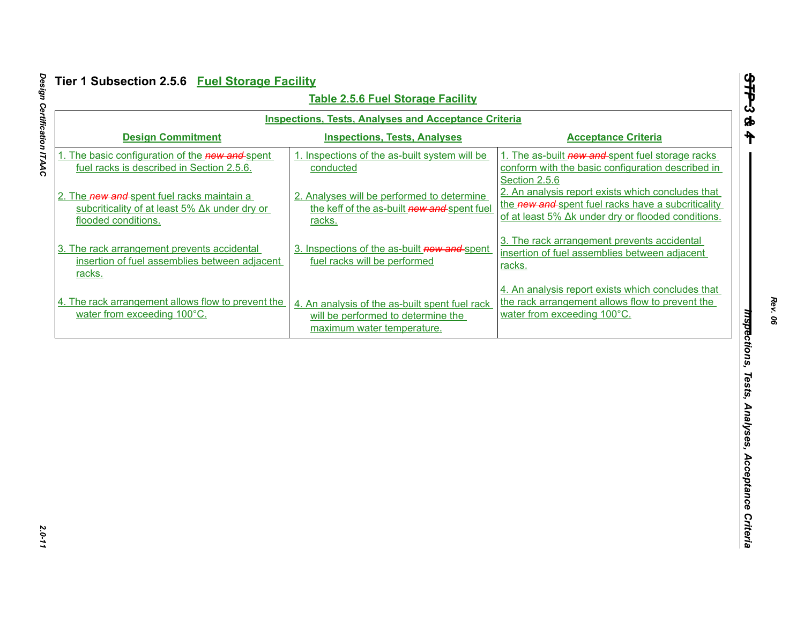| <b>Inspections, Tests, Analyses and Acceptance Criteria</b><br><b>Design Commitment</b><br><b>Inspections, Tests, Analyses</b><br><b>Acceptance Criteria</b><br>1. The basic configuration of the new and-spent<br>1. Inspections of the as-built system will be<br>fuel racks is described in Section 2.5.6.<br>conducted<br>Section 2.5.6<br>2. The new and spent fuel racks maintain a<br>2. Analyses will be performed to determine<br>the keff of the as-built new and spent fuel<br>subcriticality of at least 5% Δk under dry or<br>flooded conditions.<br>racks.<br>3. The rack arrangement prevents accidental<br>3. Inspections of the as-built new and spent<br>3. The rack arrangement prevents accidental<br>insertion of fuel assemblies between adjacent<br>insertion of fuel assemblies between adjacent<br>fuel racks will be performed<br>racks.<br>racks.<br>the rack arrangement allows flow to prevent the<br>4. The rack arrangement allows flow to prevent the<br>4. An analysis of the as-built spent fuel rack<br>water from exceeding 100°C.<br>water from exceeding 100°C. |                                    |  |
|-------------------------------------------------------------------------------------------------------------------------------------------------------------------------------------------------------------------------------------------------------------------------------------------------------------------------------------------------------------------------------------------------------------------------------------------------------------------------------------------------------------------------------------------------------------------------------------------------------------------------------------------------------------------------------------------------------------------------------------------------------------------------------------------------------------------------------------------------------------------------------------------------------------------------------------------------------------------------------------------------------------------------------------------------------------------------------------------------------|------------------------------------|--|
|                                                                                                                                                                                                                                                                                                                                                                                                                                                                                                                                                                                                                                                                                                                                                                                                                                                                                                                                                                                                                                                                                                       |                                    |  |
| 1. The as-built new and spent fuel storage racks<br>conform with the basic configuration described in                                                                                                                                                                                                                                                                                                                                                                                                                                                                                                                                                                                                                                                                                                                                                                                                                                                                                                                                                                                                 |                                    |  |
| 2. An analysis report exists which concludes that<br>the new and spent fuel racks have a subcriticality<br>of at least 5% Δk under dry or flooded conditions.                                                                                                                                                                                                                                                                                                                                                                                                                                                                                                                                                                                                                                                                                                                                                                                                                                                                                                                                         |                                    |  |
|                                                                                                                                                                                                                                                                                                                                                                                                                                                                                                                                                                                                                                                                                                                                                                                                                                                                                                                                                                                                                                                                                                       |                                    |  |
| 4. An analysis report exists which concludes that                                                                                                                                                                                                                                                                                                                                                                                                                                                                                                                                                                                                                                                                                                                                                                                                                                                                                                                                                                                                                                                     |                                    |  |
| maximum water temperature.                                                                                                                                                                                                                                                                                                                                                                                                                                                                                                                                                                                                                                                                                                                                                                                                                                                                                                                                                                                                                                                                            | will be performed to determine the |  |
|                                                                                                                                                                                                                                                                                                                                                                                                                                                                                                                                                                                                                                                                                                                                                                                                                                                                                                                                                                                                                                                                                                       |                                    |  |
|                                                                                                                                                                                                                                                                                                                                                                                                                                                                                                                                                                                                                                                                                                                                                                                                                                                                                                                                                                                                                                                                                                       |                                    |  |
|                                                                                                                                                                                                                                                                                                                                                                                                                                                                                                                                                                                                                                                                                                                                                                                                                                                                                                                                                                                                                                                                                                       |                                    |  |
|                                                                                                                                                                                                                                                                                                                                                                                                                                                                                                                                                                                                                                                                                                                                                                                                                                                                                                                                                                                                                                                                                                       |                                    |  |
|                                                                                                                                                                                                                                                                                                                                                                                                                                                                                                                                                                                                                                                                                                                                                                                                                                                                                                                                                                                                                                                                                                       |                                    |  |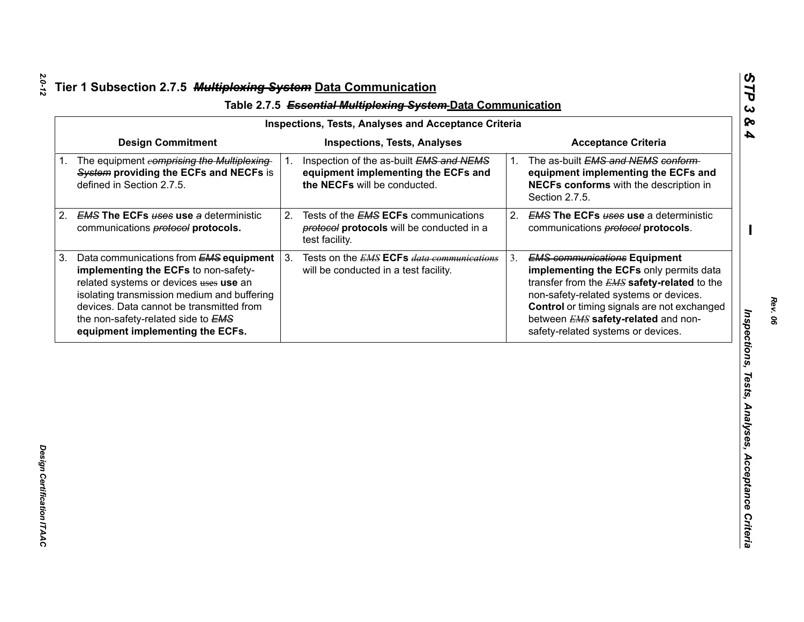| <b>Design Commitment</b><br><b>Inspections, Tests, Analyses</b><br><b>Acceptance Criteria</b><br>Inspection of the as-built EMS and NEMS<br>The as-built EMS and NEMS conform-<br>1.<br>$1_{-}$<br>System providing the ECFs and NECFs is<br>equipment implementing the ECFs and<br>equipment implementing the ECFs and<br>defined in Section 2.7.5.<br>the NECFs will be conducted.<br>NECFs conforms with the description in<br>Section 2.7.5.<br><b>EMS The ECFs uses use a deterministic</b><br><b>EMS The ECFs uses use a deterministic</b><br>2.<br>Tests of the <b>EMS ECFs</b> communications<br>2.<br>protocol protocols will be conducted in a<br>communications <b>protocol</b> protocols.<br>communications <b>protocol</b> protocols.<br>test facility.<br>Tests on the <b>EMS ECFs</b> data communications<br>Data communications from <b>EMS equipment</b><br><b>EMS communications Equipment</b><br>3.<br>3.<br>implementing the ECFs to non-safety-<br>implementing the ECFs only permits data<br>will be conducted in a test facility.<br>related systems or devices uses use an<br>transfer from the EMS safety-related to the<br>isolating transmission medium and buffering<br>non-safety-related systems or devices.<br>devices. Data cannot be transmitted from<br>Control or timing signals are not exchanged<br>between EMS safety-related and non-<br>the non-safety-related side to EMS<br>equipment implementing the ECFs.<br>safety-related systems or devices. | 1. The equipment eomprising the Multiplexing |    |  | <b>Inspections, Tests, Analyses and Acceptance Criteria</b> |  |
|----------------------------------------------------------------------------------------------------------------------------------------------------------------------------------------------------------------------------------------------------------------------------------------------------------------------------------------------------------------------------------------------------------------------------------------------------------------------------------------------------------------------------------------------------------------------------------------------------------------------------------------------------------------------------------------------------------------------------------------------------------------------------------------------------------------------------------------------------------------------------------------------------------------------------------------------------------------------------------------------------------------------------------------------------------------------------------------------------------------------------------------------------------------------------------------------------------------------------------------------------------------------------------------------------------------------------------------------------------------------------------------------------------------------------------------------------------------------------------------------|----------------------------------------------|----|--|-------------------------------------------------------------|--|
|                                                                                                                                                                                                                                                                                                                                                                                                                                                                                                                                                                                                                                                                                                                                                                                                                                                                                                                                                                                                                                                                                                                                                                                                                                                                                                                                                                                                                                                                                              |                                              |    |  |                                                             |  |
|                                                                                                                                                                                                                                                                                                                                                                                                                                                                                                                                                                                                                                                                                                                                                                                                                                                                                                                                                                                                                                                                                                                                                                                                                                                                                                                                                                                                                                                                                              |                                              |    |  |                                                             |  |
|                                                                                                                                                                                                                                                                                                                                                                                                                                                                                                                                                                                                                                                                                                                                                                                                                                                                                                                                                                                                                                                                                                                                                                                                                                                                                                                                                                                                                                                                                              |                                              | 2. |  |                                                             |  |
|                                                                                                                                                                                                                                                                                                                                                                                                                                                                                                                                                                                                                                                                                                                                                                                                                                                                                                                                                                                                                                                                                                                                                                                                                                                                                                                                                                                                                                                                                              |                                              | 3. |  |                                                             |  |
|                                                                                                                                                                                                                                                                                                                                                                                                                                                                                                                                                                                                                                                                                                                                                                                                                                                                                                                                                                                                                                                                                                                                                                                                                                                                                                                                                                                                                                                                                              |                                              |    |  |                                                             |  |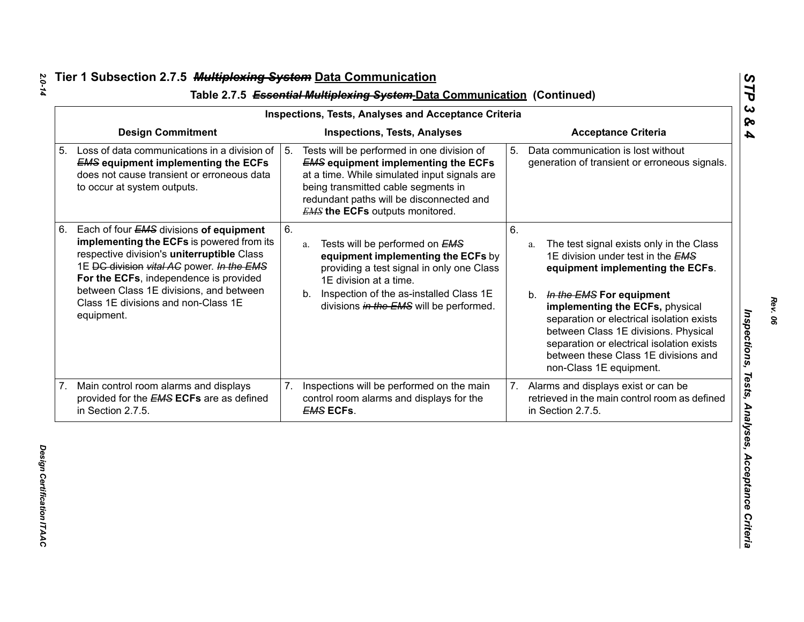| <b>Inspections, Tests, Analyses and Acceptance Criteria</b> |                                                                                                                                                                                                                                                                                                                           |    |                                                                                                                                                                                                                                                                       |                            |                                                                                                                                                                                                                                                                                                                                                                                                       |  |
|-------------------------------------------------------------|---------------------------------------------------------------------------------------------------------------------------------------------------------------------------------------------------------------------------------------------------------------------------------------------------------------------------|----|-----------------------------------------------------------------------------------------------------------------------------------------------------------------------------------------------------------------------------------------------------------------------|----------------------------|-------------------------------------------------------------------------------------------------------------------------------------------------------------------------------------------------------------------------------------------------------------------------------------------------------------------------------------------------------------------------------------------------------|--|
|                                                             | <b>Design Commitment</b>                                                                                                                                                                                                                                                                                                  |    | <b>Inspections, Tests, Analyses</b>                                                                                                                                                                                                                                   | <b>Acceptance Criteria</b> |                                                                                                                                                                                                                                                                                                                                                                                                       |  |
| 5 <sub>1</sub>                                              | Loss of data communications in a division of<br><b>EMS equipment implementing the ECFs</b><br>does not cause transient or erroneous data<br>to occur at system outputs.                                                                                                                                                   | 5. | Tests will be performed in one division of<br><b>EMS equipment implementing the ECFs</b><br>at a time. While simulated input signals are<br>being transmitted cable segments in<br>redundant paths will be disconnected and<br><b>EMS the ECFs</b> outputs monitored. | 5.                         | Data communication is lost without<br>generation of transient or erroneous signals.                                                                                                                                                                                                                                                                                                                   |  |
| 6.                                                          | Each of four EMS divisions of equipment<br>implementing the ECFs is powered from its<br>respective division's uniterruptible Class<br>1E DC division vital AC power. In the EMS<br>For the ECFs, independence is provided<br>between Class 1E divisions, and between<br>Class 1E divisions and non-Class 1E<br>equipment. | 6. | Tests will be performed on EMS<br>a.<br>equipment implementing the ECFs by<br>providing a test signal in only one Class<br>1E division at a time.<br>b. Inspection of the as-installed Class 1E<br>divisions in the EMS will be performed.                            | 6.                         | The test signal exists only in the Class<br>a.<br>1E division under test in the <b>EMS</b><br>equipment implementing the ECFs.<br>b. In the EMS For equipment<br>implementing the ECFs, physical<br>separation or electrical isolation exists<br>between Class 1E divisions. Physical<br>separation or electrical isolation exists<br>between these Class 1E divisions and<br>non-Class 1E equipment. |  |
|                                                             | 7. Main control room alarms and displays<br>provided for the <b>EMS ECFs</b> are as defined<br>in Section 2.7.5.                                                                                                                                                                                                          | 7. | Inspections will be performed on the main<br>control room alarms and displays for the<br><b>EMS ECFs.</b>                                                                                                                                                             | 7.                         | Alarms and displays exist or can be<br>retrieved in the main control room as defined<br>in Section 2.7.5.                                                                                                                                                                                                                                                                                             |  |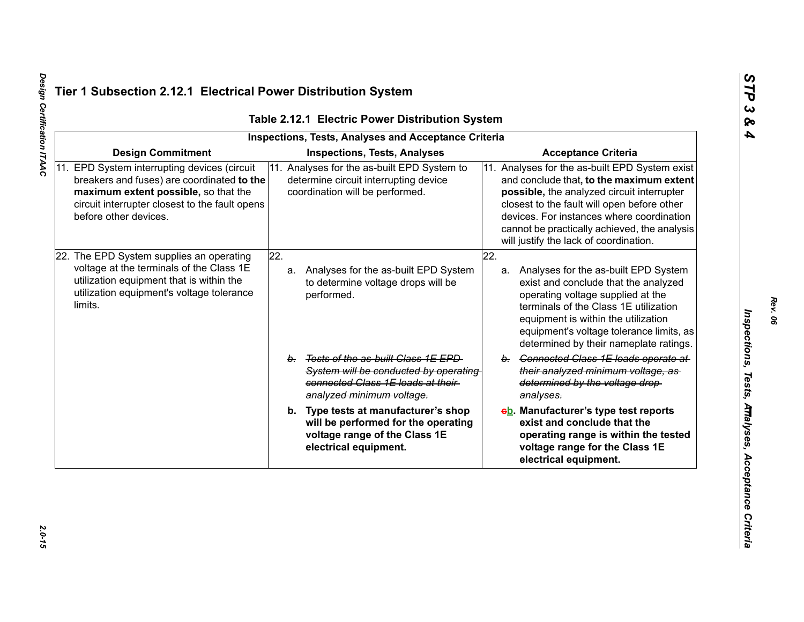| <b>Inspections, Tests, Analyses and Acceptance Criteria</b> |                                                                                                                                                                                                               |                                                                                                                                                  |                                                                                                                                                                                                                                                                                                                                |  |  |  |
|-------------------------------------------------------------|---------------------------------------------------------------------------------------------------------------------------------------------------------------------------------------------------------------|--------------------------------------------------------------------------------------------------------------------------------------------------|--------------------------------------------------------------------------------------------------------------------------------------------------------------------------------------------------------------------------------------------------------------------------------------------------------------------------------|--|--|--|
|                                                             | <b>Design Commitment</b>                                                                                                                                                                                      | <b>Inspections, Tests, Analyses</b>                                                                                                              | <b>Acceptance Criteria</b>                                                                                                                                                                                                                                                                                                     |  |  |  |
|                                                             | 11. EPD System interrupting devices (circuit<br>breakers and fuses) are coordinated to the<br>maximum extent possible, so that the<br>circuit interrupter closest to the fault opens<br>before other devices. | 11. Analyses for the as-built EPD System to<br>determine circuit interrupting device<br>coordination will be performed.                          | 11. Analyses for the as-built EPD System exist<br>and conclude that, to the maximum extent<br>possible, the analyzed circuit interrupter<br>closest to the fault will open before other<br>devices. For instances where coordination<br>cannot be practically achieved, the analysis<br>will justify the lack of coordination. |  |  |  |
|                                                             | 22. The EPD System supplies an operating<br>voltage at the terminals of the Class 1E<br>utilization equipment that is within the<br>utilization equipment's voltage tolerance<br>limits.                      | $\overline{22}$ .<br>Analyses for the as-built EPD System<br>a.<br>to determine voltage drops will be<br>performed.                              | 22.<br>a. Analyses for the as-built EPD System<br>exist and conclude that the analyzed<br>operating voltage supplied at the<br>terminals of the Class 1E utilization<br>equipment is within the utilization<br>equipment's voltage tolerance limits, as<br>determined by their nameplate ratings.                              |  |  |  |
|                                                             |                                                                                                                                                                                                               | b. Tests of the as-built Class 1E EPD<br>System will be conducted by operating<br>connected Class 1E loads at their<br>analyzed minimum voltage. | b. Connected Class 1E loads operate at<br>their analyzed minimum voltage, as-<br>determined by the voltage drop-<br>analyses.                                                                                                                                                                                                  |  |  |  |
|                                                             |                                                                                                                                                                                                               | b. Type tests at manufacturer's shop<br>will be performed for the operating<br>voltage range of the Class 1E<br>electrical equipment.            | eb. Manufacturer's type test reports<br>exist and conclude that the<br>operating range is within the tested<br>voltage range for the Class 1E<br>electrical equipment.                                                                                                                                                         |  |  |  |

Design Certification ITAAC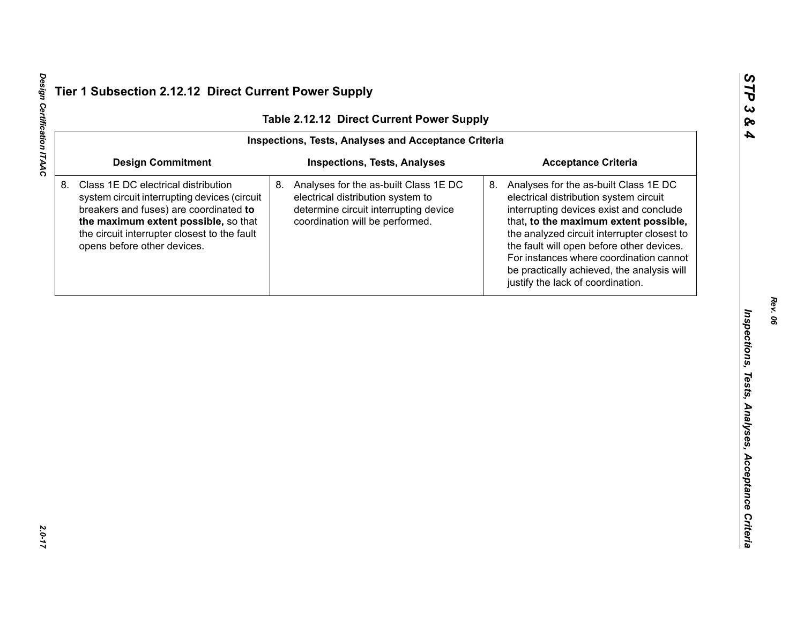| Table 2.12.12 Direct Current Power Supply                   |                                                                                                                                                                                                                                                      |                                                                                                                                                              |                                                                                                                                                                                                                                                                                                                                                                                                  |  |  |  |
|-------------------------------------------------------------|------------------------------------------------------------------------------------------------------------------------------------------------------------------------------------------------------------------------------------------------------|--------------------------------------------------------------------------------------------------------------------------------------------------------------|--------------------------------------------------------------------------------------------------------------------------------------------------------------------------------------------------------------------------------------------------------------------------------------------------------------------------------------------------------------------------------------------------|--|--|--|
| <b>Inspections, Tests, Analyses and Acceptance Criteria</b> |                                                                                                                                                                                                                                                      |                                                                                                                                                              |                                                                                                                                                                                                                                                                                                                                                                                                  |  |  |  |
|                                                             | <b>Design Commitment</b>                                                                                                                                                                                                                             | <b>Inspections, Tests, Analyses</b>                                                                                                                          | <b>Acceptance Criteria</b>                                                                                                                                                                                                                                                                                                                                                                       |  |  |  |
|                                                             | Class 1E DC electrical distribution<br>system circuit interrupting devices (circuit<br>breakers and fuses) are coordinated to<br>the maximum extent possible, so that<br>the circuit interrupter closest to the fault<br>opens before other devices. | 8.<br>Analyses for the as-built Class 1E DC<br>electrical distribution system to<br>determine circuit interrupting device<br>coordination will be performed. | 8. Analyses for the as-built Class 1E DC<br>electrical distribution system circuit<br>interrupting devices exist and conclude<br>that, to the maximum extent possible,<br>the analyzed circuit interrupter closest to<br>the fault will open before other devices.<br>For instances where coordination cannot<br>be practically achieved, the analysis will<br>justify the lack of coordination. |  |  |  |
|                                                             |                                                                                                                                                                                                                                                      |                                                                                                                                                              |                                                                                                                                                                                                                                                                                                                                                                                                  |  |  |  |
|                                                             |                                                                                                                                                                                                                                                      |                                                                                                                                                              |                                                                                                                                                                                                                                                                                                                                                                                                  |  |  |  |
|                                                             |                                                                                                                                                                                                                                                      |                                                                                                                                                              |                                                                                                                                                                                                                                                                                                                                                                                                  |  |  |  |
|                                                             |                                                                                                                                                                                                                                                      |                                                                                                                                                              |                                                                                                                                                                                                                                                                                                                                                                                                  |  |  |  |
|                                                             |                                                                                                                                                                                                                                                      |                                                                                                                                                              |                                                                                                                                                                                                                                                                                                                                                                                                  |  |  |  |
|                                                             |                                                                                                                                                                                                                                                      |                                                                                                                                                              |                                                                                                                                                                                                                                                                                                                                                                                                  |  |  |  |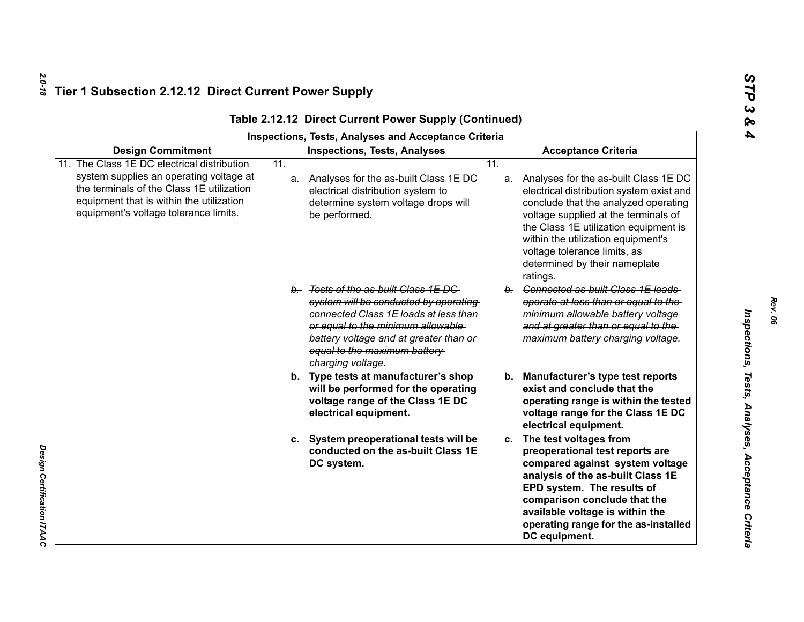| <b>Inspections, Tests, Analyses and Acceptance Criteria</b>                                                                                                                                                          |                                                                                                                                                                                                                                                            |                                                                                                                                                                                                                                                                                                                                         |  |  |  |
|----------------------------------------------------------------------------------------------------------------------------------------------------------------------------------------------------------------------|------------------------------------------------------------------------------------------------------------------------------------------------------------------------------------------------------------------------------------------------------------|-----------------------------------------------------------------------------------------------------------------------------------------------------------------------------------------------------------------------------------------------------------------------------------------------------------------------------------------|--|--|--|
| <b>Design Commitment</b>                                                                                                                                                                                             | <b>Inspections, Tests, Analyses</b>                                                                                                                                                                                                                        | <b>Acceptance Criteria</b>                                                                                                                                                                                                                                                                                                              |  |  |  |
| The Class 1E DC electrical distribution<br>system supplies an operating voltage at<br>the terminals of the Class 1E utilization<br>equipment that is within the utilization<br>equipment's voltage tolerance limits. | $\overline{11}$ .<br>a. Analyses for the as-built Class 1E DC<br>electrical distribution system to<br>determine system voltage drops will<br>be performed.                                                                                                 | 11.<br>a. Analyses for the as-built Class 1E DC<br>electrical distribution system exist and<br>conclude that the analyzed operating<br>voltage supplied at the terminals of<br>the Class 1E utilization equipment is<br>within the utilization equipment's<br>voltage tolerance limits, as<br>determined by their nameplate<br>ratings. |  |  |  |
|                                                                                                                                                                                                                      | b. Tests of the as-built Class 1E DC<br>system will be conducted by operating<br>connected Class 1E loads at less than<br>or equal to the minimum allowable<br>battery voltage and at greater than or<br>equal to the maximum battery<br>charging voltage. | b. Connected as-built Class 1E loads<br>operate at less than or equal to the<br>minimum allowable battery voltage<br>and at greater than or equal to the<br>maximum battery charging voltage.                                                                                                                                           |  |  |  |
|                                                                                                                                                                                                                      | b. Type tests at manufacturer's shop<br>will be performed for the operating<br>voltage range of the Class 1E DC<br>electrical equipment.                                                                                                                   | <b>Manufacturer's type test reports</b><br>b.<br>exist and conclude that the<br>operating range is within the tested<br>voltage range for the Class 1E DC<br>electrical equipment.                                                                                                                                                      |  |  |  |
|                                                                                                                                                                                                                      | c. System preoperational tests will be<br>conducted on the as-built Class 1E<br>DC system.                                                                                                                                                                 | c. The test voltages from<br>preoperational test reports are<br>compared against system voltage<br>analysis of the as-built Class 1E<br>EPD system. The results of<br>comparison conclude that the<br>available voltage is within the<br>operating range for the as-installed<br>DC equipment.                                          |  |  |  |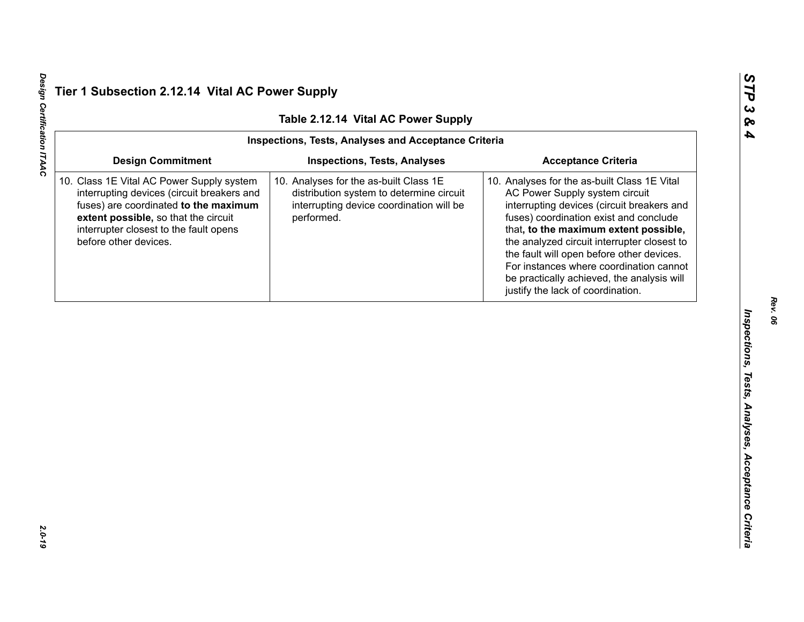Design Certification ITAAC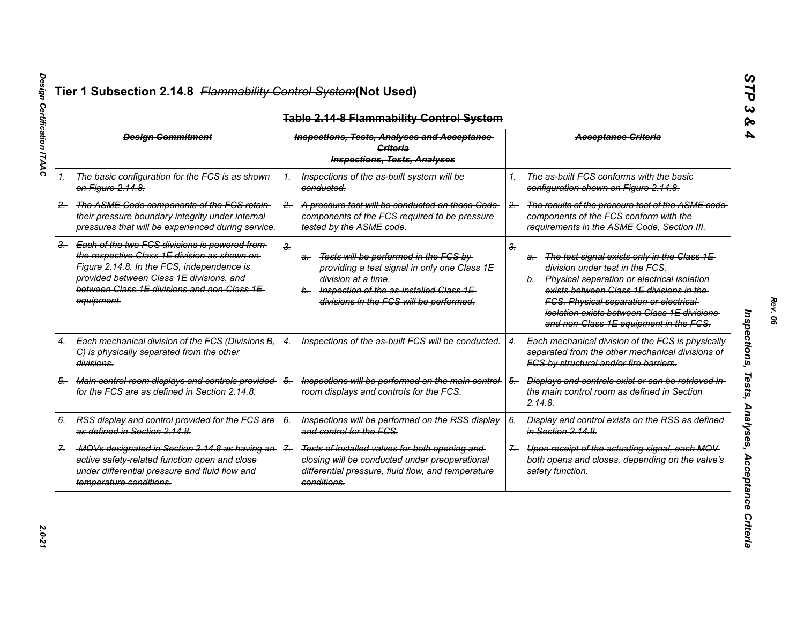| <b>Design Commitment</b> |                                                                                                                                                                                                                                                          | <b>Inspections, Tests, Analyses and Acceptance</b><br>Criteria<br><b>Inspections, Tests, Analyses</b> |                                                                                                                                                                                                       |       | <b>Acceptance Criteria</b>                                                                                                                                                                                                                                                                                                    |
|--------------------------|----------------------------------------------------------------------------------------------------------------------------------------------------------------------------------------------------------------------------------------------------------|-------------------------------------------------------------------------------------------------------|-------------------------------------------------------------------------------------------------------------------------------------------------------------------------------------------------------|-------|-------------------------------------------------------------------------------------------------------------------------------------------------------------------------------------------------------------------------------------------------------------------------------------------------------------------------------|
|                          | 1. The basic configuration for the FCS is as shown<br><del>on Figure 2.14.8.</del>                                                                                                                                                                       | conducted.                                                                                            | Inspections of the as-built system will be                                                                                                                                                            |       | The as-built FCS conforms with the basic-<br>configuration shown on Figure 2.14.8.                                                                                                                                                                                                                                            |
| $2 -$                    | The ASME Code components of the FCS retain<br>their pressure boundary integrity under internal-<br>pressures that will be experienced during service.                                                                                                    | $2 -$                                                                                                 | A pressure test will be conducted on those Code<br>components of the FCS required to be pressure<br>tested by the ASME code.                                                                          | $2 -$ | The results of the pressure test of the ASME code<br>components of the FCS conform with the<br>requirements in the ASME Code, Section III.                                                                                                                                                                                    |
|                          | 3. Each of the two FCS divisions is powered from<br>the respective Class 1E division as shown on-<br>Figure 2.14.8. In the FCS, independence is<br>provided between Class 1E divisions, and<br>between Class 1E divisions and non-Class 1E<br>equipment. | 3.<br>a-                                                                                              | Tests will be performed in the FCS by<br>providing a test signal in only one Class 1E<br>division at a time.<br>b. Inspection of the as-installed Class 1E<br>divisions in the FCS will be performed. | З.    | The test signal exists only in the Class 1E<br>a-<br>division under test in the FCS.<br>b. Physical separation or electrical isolation<br>exists between Class 1E divisions in the<br><b>FCS. Physical separation or electrical</b><br>isolation exists between Class 1E divisions.<br>and non-Class 1E equipment in the FCS. |
|                          | Each mechanical division of the FCS (Divisions B,<br>$4 -$<br>C) is physically separated from the other-<br>divisions.                                                                                                                                   | $^{4-}$                                                                                               | Inspections of the as-built FCS will be conducted.                                                                                                                                                    |       | Each mechanical division of the FCS is physically<br>separated from the other mechanical divisions of<br>FCS by structural and/or fire barriers.                                                                                                                                                                              |
| 5.                       | Main control room displays and controls provided<br>for the FCS are as defined in Section 2.14.8.                                                                                                                                                        | $5-$                                                                                                  | Inspections will be performed on the main control-<br>room displays and controls for the FCS.                                                                                                         | $5-$  | Displays and controls exist or can be retrieved in<br>the main control room as defined in Section-<br><del>2.14.8.</del>                                                                                                                                                                                                      |
|                          | 6. RSS display and control provided for the FCS are<br>as defined in Section 2.14.8.                                                                                                                                                                     | $6-$                                                                                                  | Inspections will be performed on the RSS display-<br>and control for the FCS.                                                                                                                         | $6-$  | Display and control exists on the RSS as defined<br>in Section 2.14.8.                                                                                                                                                                                                                                                        |
|                          | -MOVs designated in Section 2.14.8 as having an-<br>active safety-related function open and close-<br>under differential pressure and fluid flow and<br>temperature conditions.                                                                          | $\mathcal{Z}_{-}$<br>conditions.                                                                      | Tests of installed valves for both opening and<br>closing will be conducted under preoperational-<br>differential pressure, fluid flow, and temperature                                               | $7 -$ | Upon receipt of the actuating signal, each MOV<br>both opens and closes, depending on the valve's<br>safety function.                                                                                                                                                                                                         |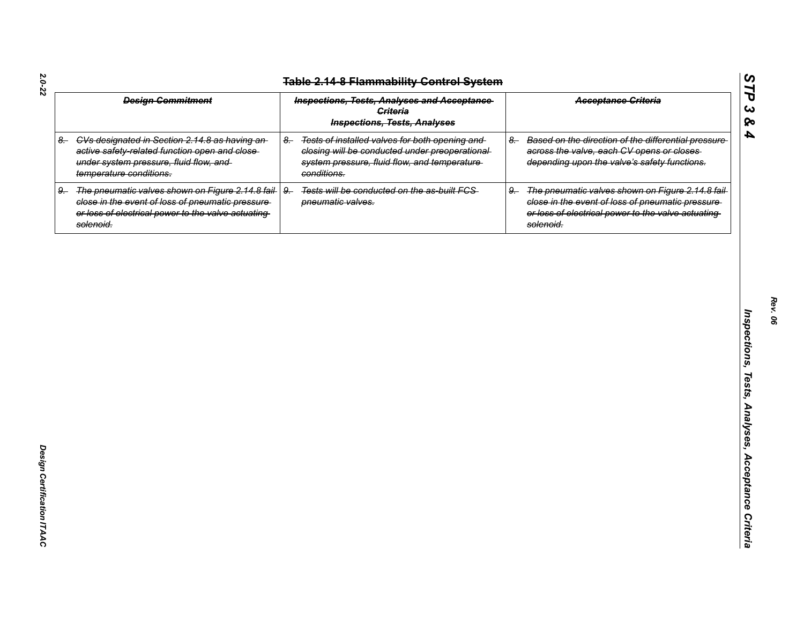| <b>Design Commitment</b> |                                                                                                                                                                            | <b>Inspections, Tests, Analyses and Acceptance</b><br><b>Criteria</b><br><b>Inspections, Tests, Analyses</b> |                                                                                                                                                                   |      | <b>Acceptance Criteria</b>                                                                                                                                                |
|--------------------------|----------------------------------------------------------------------------------------------------------------------------------------------------------------------------|--------------------------------------------------------------------------------------------------------------|-------------------------------------------------------------------------------------------------------------------------------------------------------------------|------|---------------------------------------------------------------------------------------------------------------------------------------------------------------------------|
|                          | 8. CVs designated in Section 2.14.8 as having an-<br>active safety-related function open and close-<br>under system pressure, fluid flow, and<br>temperature conditions.   | $8-$                                                                                                         | Tests of installed valves for both opening and<br>closing will be conducted under preoperational-<br>system pressure, fluid flow, and temperature-<br>conditions. | $8-$ | Based on the direction of the differential pressure-<br>across the valve, each CV opens or closes<br>depending upon the valve's safety functions.                         |
| 9.                       | The pneumatic valves shown on Figure 2.14.8 fail-<br>close in the event of loss of pneumatic pressure-<br>or loss of electrical power to the valve actuating-<br>solenoid. | $9-$                                                                                                         | Tests will be conducted on the as-built FCS-<br>pneumatic valves.                                                                                                 | $9-$ | The pneumatic valves shown on Figure 2.14.8 fail-<br>close in the event of loss of pneumatic pressure-<br>or loss of electrical power to the valve actuating<br>solenoid. |
|                          |                                                                                                                                                                            |                                                                                                              |                                                                                                                                                                   |      |                                                                                                                                                                           |
|                          |                                                                                                                                                                            |                                                                                                              |                                                                                                                                                                   |      |                                                                                                                                                                           |
|                          |                                                                                                                                                                            |                                                                                                              |                                                                                                                                                                   |      |                                                                                                                                                                           |
|                          |                                                                                                                                                                            |                                                                                                              |                                                                                                                                                                   |      |                                                                                                                                                                           |
|                          |                                                                                                                                                                            |                                                                                                              |                                                                                                                                                                   |      |                                                                                                                                                                           |
|                          |                                                                                                                                                                            |                                                                                                              |                                                                                                                                                                   |      |                                                                                                                                                                           |
|                          |                                                                                                                                                                            |                                                                                                              |                                                                                                                                                                   |      |                                                                                                                                                                           |
|                          |                                                                                                                                                                            |                                                                                                              |                                                                                                                                                                   |      |                                                                                                                                                                           |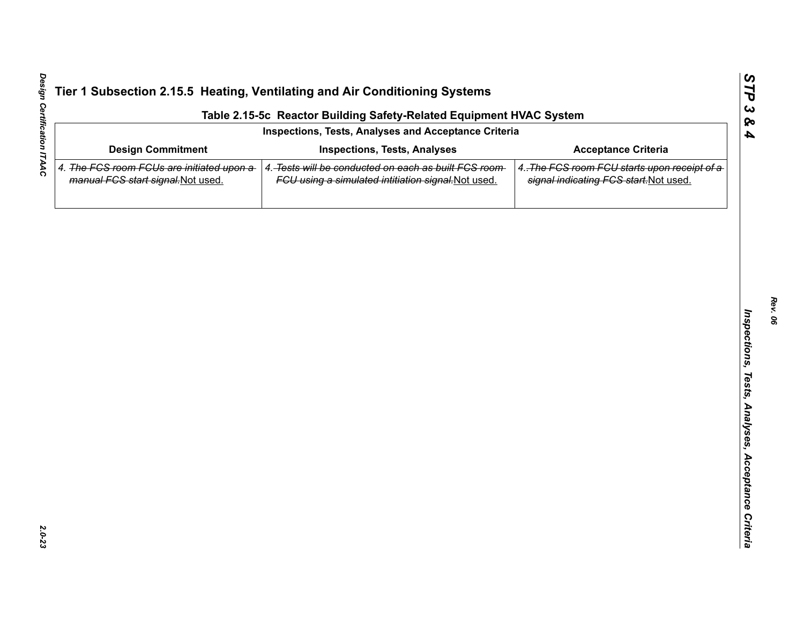| Table 2.15-5c Reactor Building Safety-Related Equipment HVAC System             |                                                                                                             |                                                                                        |  |  |  |  |  |
|---------------------------------------------------------------------------------|-------------------------------------------------------------------------------------------------------------|----------------------------------------------------------------------------------------|--|--|--|--|--|
| Inspections, Tests, Analyses and Acceptance Criteria                            |                                                                                                             |                                                                                        |  |  |  |  |  |
| <b>Design Commitment</b>                                                        | <b>Inspections, Tests, Analyses</b>                                                                         | <b>Acceptance Criteria</b>                                                             |  |  |  |  |  |
| 4. The FCS room FCUs are initiated upon a<br>manual FCS start signal. Not used. | 4. Tests will be conducted on each as built FCS room<br>FCU using a simulated intitiation signal. Not used. | 4. The FCS room FCU starts upon receipt of a<br>signal indicating FCS start. Not used. |  |  |  |  |  |
|                                                                                 |                                                                                                             |                                                                                        |  |  |  |  |  |
|                                                                                 |                                                                                                             |                                                                                        |  |  |  |  |  |
|                                                                                 |                                                                                                             |                                                                                        |  |  |  |  |  |
|                                                                                 |                                                                                                             |                                                                                        |  |  |  |  |  |
|                                                                                 |                                                                                                             |                                                                                        |  |  |  |  |  |
|                                                                                 |                                                                                                             |                                                                                        |  |  |  |  |  |
|                                                                                 |                                                                                                             |                                                                                        |  |  |  |  |  |
|                                                                                 |                                                                                                             |                                                                                        |  |  |  |  |  |
|                                                                                 |                                                                                                             |                                                                                        |  |  |  |  |  |
|                                                                                 |                                                                                                             |                                                                                        |  |  |  |  |  |
|                                                                                 |                                                                                                             |                                                                                        |  |  |  |  |  |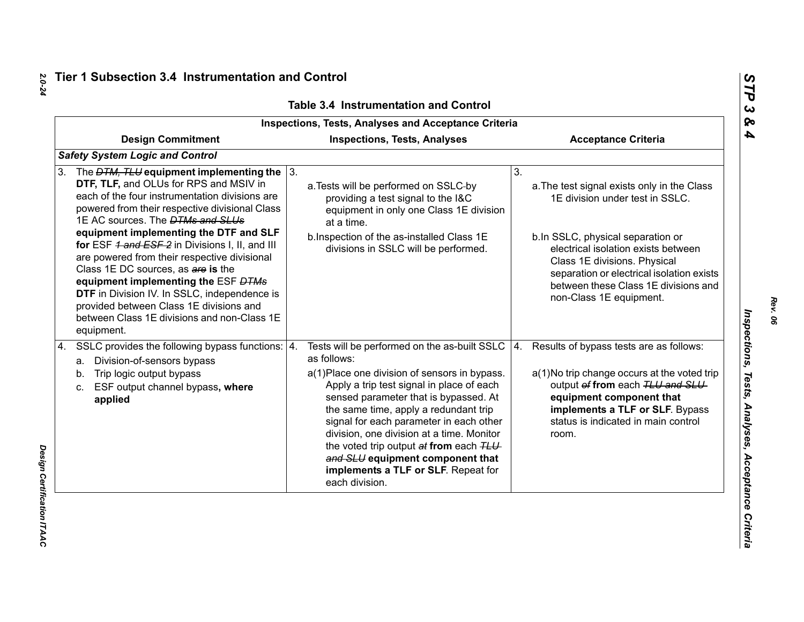| <b>Inspections, Tests, Analyses and Acceptance Criteria</b>                                                                                                                                                                                                                                                                                                                                                                                                                                                                                                                                                                            |                                                                                                                                                                                                                                                                                                                                                                                                                                                                                   |                                                                                                                                                                                                                                                                                                                  |  |  |  |
|----------------------------------------------------------------------------------------------------------------------------------------------------------------------------------------------------------------------------------------------------------------------------------------------------------------------------------------------------------------------------------------------------------------------------------------------------------------------------------------------------------------------------------------------------------------------------------------------------------------------------------------|-----------------------------------------------------------------------------------------------------------------------------------------------------------------------------------------------------------------------------------------------------------------------------------------------------------------------------------------------------------------------------------------------------------------------------------------------------------------------------------|------------------------------------------------------------------------------------------------------------------------------------------------------------------------------------------------------------------------------------------------------------------------------------------------------------------|--|--|--|
| <b>Design Commitment</b>                                                                                                                                                                                                                                                                                                                                                                                                                                                                                                                                                                                                               | <b>Inspections, Tests, Analyses</b>                                                                                                                                                                                                                                                                                                                                                                                                                                               | <b>Acceptance Criteria</b>                                                                                                                                                                                                                                                                                       |  |  |  |
| <b>Safety System Logic and Control</b>                                                                                                                                                                                                                                                                                                                                                                                                                                                                                                                                                                                                 |                                                                                                                                                                                                                                                                                                                                                                                                                                                                                   |                                                                                                                                                                                                                                                                                                                  |  |  |  |
| The $DTM$ , TLU equipment implementing the $\vert$ 3.<br>3.<br>DTF, TLF, and OLUs for RPS and MSIV in<br>each of the four instrumentation divisions are<br>powered from their respective divisional Class<br>1E AC sources. The <b>DTMs and SLUs</b><br>equipment implementing the DTF and SLF<br>for ESF 4 and ESF 2 in Divisions I, II, and III<br>are powered from their respective divisional<br>Class 1E DC sources, as are is the<br>equipment implementing the ESF DTMs<br>DTF in Division IV. In SSLC, independence is<br>provided between Class 1E divisions and<br>between Class 1E divisions and non-Class 1E<br>equipment. | a. Tests will be performed on SSLC-by<br>providing a test signal to the I&C<br>equipment in only one Class 1E division<br>at a time.<br>b. Inspection of the as-installed Class 1E<br>divisions in SSLC will be performed.                                                                                                                                                                                                                                                        | 3.<br>a. The test signal exists only in the Class<br>1E division under test in SSLC.<br>b.In SSLC, physical separation or<br>electrical isolation exists between<br>Class 1E divisions. Physical<br>separation or electrical isolation exists<br>between these Class 1E divisions and<br>non-Class 1E equipment. |  |  |  |
| SSLC provides the following bypass functions:   4.<br>4.<br>a. Division-of-sensors bypass<br>Trip logic output bypass<br>b.<br>ESF output channel bypass, where<br>c.<br>applied                                                                                                                                                                                                                                                                                                                                                                                                                                                       | Tests will be performed on the as-built SSLC $ 4$ .<br>as follows:<br>a(1) Place one division of sensors in bypass.<br>Apply a trip test signal in place of each<br>sensed parameter that is bypassed. At<br>the same time, apply a redundant trip<br>signal for each parameter in each other<br>division, one division at a time. Monitor<br>the voted trip output at from each TLU<br>and SLU equipment component that<br>implements a TLF or SLF. Repeat for<br>each division. | Results of bypass tests are as follows:<br>a(1) No trip change occurs at the voted trip<br>output of from each TLU and SLU<br>equipment component that<br>implements a TLF or SLF. Bypass<br>status is indicated in main control<br>room.                                                                        |  |  |  |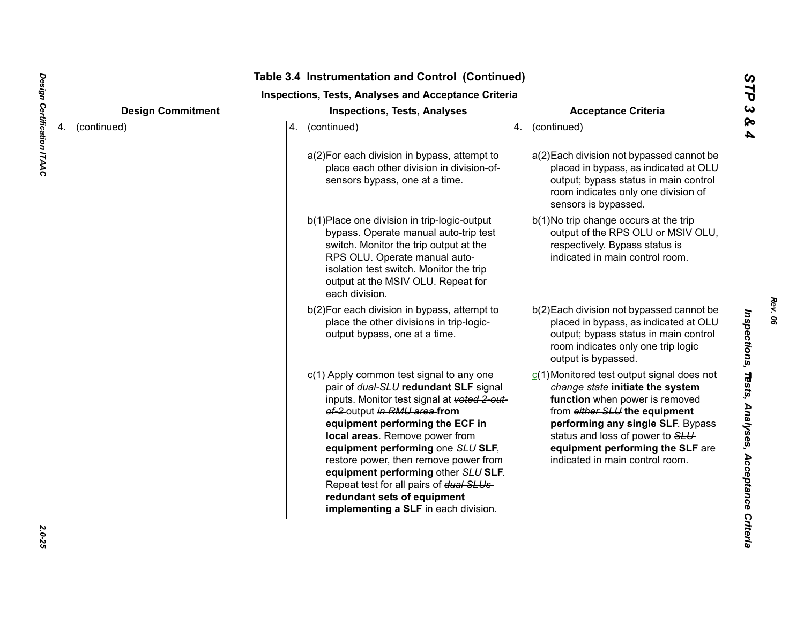| <b>Inspections, Tests, Analyses and Acceptance Criteria</b> |                          |    |                                                                                                                                                                                                                                                                                                                                                                                                                                                                              |    |                                                                                                                                                                                                                                                                                                    |  |  |
|-------------------------------------------------------------|--------------------------|----|------------------------------------------------------------------------------------------------------------------------------------------------------------------------------------------------------------------------------------------------------------------------------------------------------------------------------------------------------------------------------------------------------------------------------------------------------------------------------|----|----------------------------------------------------------------------------------------------------------------------------------------------------------------------------------------------------------------------------------------------------------------------------------------------------|--|--|
|                                                             | <b>Design Commitment</b> |    | <b>Inspections, Tests, Analyses</b>                                                                                                                                                                                                                                                                                                                                                                                                                                          |    | <b>Acceptance Criteria</b>                                                                                                                                                                                                                                                                         |  |  |
| 4.                                                          | (continued)              | 4. | (continued)                                                                                                                                                                                                                                                                                                                                                                                                                                                                  | 4. | (continued)                                                                                                                                                                                                                                                                                        |  |  |
|                                                             |                          |    | a(2) For each division in bypass, attempt to<br>place each other division in division-of-<br>sensors bypass, one at a time.                                                                                                                                                                                                                                                                                                                                                  |    | a(2) Each division not bypassed cannot be<br>placed in bypass, as indicated at OLU<br>output; bypass status in main control<br>room indicates only one division of<br>sensors is bypassed.                                                                                                         |  |  |
|                                                             |                          |    | b(1) Place one division in trip-logic-output<br>bypass. Operate manual auto-trip test<br>switch. Monitor the trip output at the<br>RPS OLU. Operate manual auto-<br>isolation test switch. Monitor the trip<br>output at the MSIV OLU. Repeat for<br>each division.                                                                                                                                                                                                          |    | b(1) No trip change occurs at the trip<br>output of the RPS OLU or MSIV OLU,<br>respectively. Bypass status is<br>indicated in main control room.                                                                                                                                                  |  |  |
|                                                             |                          |    | b(2) For each division in bypass, attempt to<br>place the other divisions in trip-logic-<br>output bypass, one at a time.                                                                                                                                                                                                                                                                                                                                                    |    | b(2) Each division not bypassed cannot be<br>placed in bypass, as indicated at OLU<br>output; bypass status in main control<br>room indicates only one trip logic<br>output is bypassed.                                                                                                           |  |  |
|                                                             |                          |    | c(1) Apply common test signal to any one<br>pair of dual-SLU redundant SLF signal<br>inputs. Monitor test signal at voted 2-out-<br>of-2-output in RMU area-from<br>equipment performing the ECF in<br>local areas. Remove power from<br>equipment performing one SLU SLF,<br>restore power, then remove power from<br>equipment performing other SLU SLF.<br>Repeat test for all pairs of dual SLUs-<br>redundant sets of equipment<br>implementing a SLF in each division. |    | $C(1)$ Monitored test output signal does not<br>change state-initiate the system<br>function when power is removed<br>from either SLU the equipment<br>performing any single SLF. Bypass<br>status and loss of power to SLU<br>equipment performing the SLF are<br>indicated in main control room. |  |  |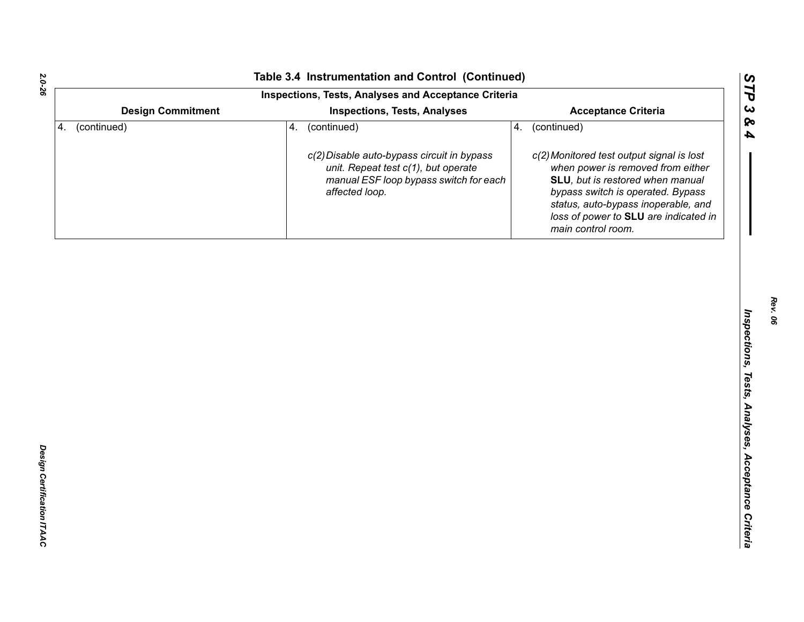| Table 3.4 Instrumentation and Control (Continued)    |                                                                                                                                                                          |                                                                                                                                                                                                               |  |  |  |  |
|------------------------------------------------------|--------------------------------------------------------------------------------------------------------------------------------------------------------------------------|---------------------------------------------------------------------------------------------------------------------------------------------------------------------------------------------------------------|--|--|--|--|
| Inspections, Tests, Analyses and Acceptance Criteria |                                                                                                                                                                          |                                                                                                                                                                                                               |  |  |  |  |
| <b>Design Commitment</b>                             | <b>Inspections, Tests, Analyses</b>                                                                                                                                      | <b>Acceptance Criteria</b>                                                                                                                                                                                    |  |  |  |  |
| (continued)<br>4.                                    | (continued)<br>4.<br>4.<br>c(2) Disable auto-bypass circuit in bypass<br>unit. Repeat test c(1), but operate<br>manual ESF loop bypass switch for each<br>affected loop. | (continued)<br>c(2) Monitored test output signal is lost<br>when power is removed from either<br>SLU, but is restored when manual<br>bypass switch is operated. Bypass<br>status, auto-bypass inoperable, and |  |  |  |  |
|                                                      |                                                                                                                                                                          | loss of power to SLU are indicated in<br>main control room.                                                                                                                                                   |  |  |  |  |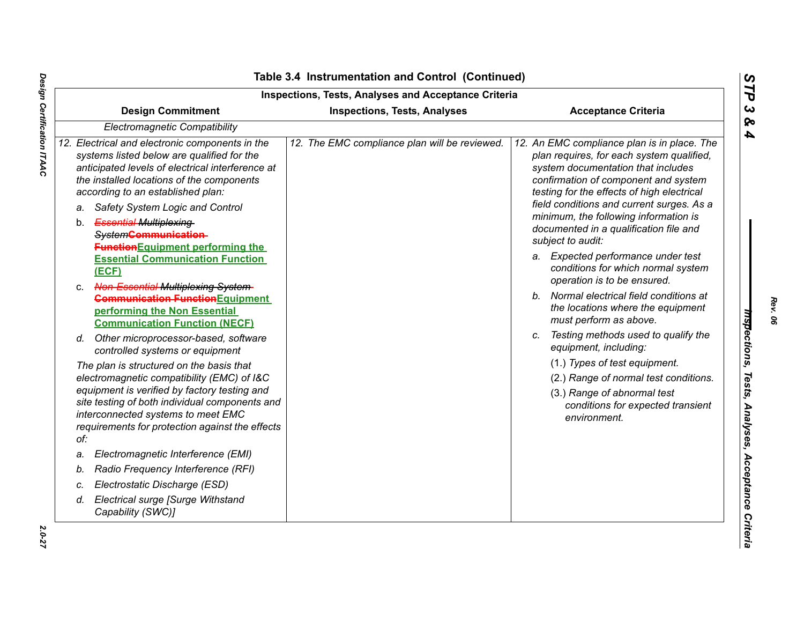|    | <b>Design Commitment</b>                                                                                                                                                                                                                                                                 | <b>Inspections, Tests, Analyses and Acceptance Criteria</b><br><b>Inspections, Tests, Analyses</b> | <b>Acceptance Criteria</b>                                                                                                                                                                                           |  |
|----|------------------------------------------------------------------------------------------------------------------------------------------------------------------------------------------------------------------------------------------------------------------------------------------|----------------------------------------------------------------------------------------------------|----------------------------------------------------------------------------------------------------------------------------------------------------------------------------------------------------------------------|--|
|    | Electromagnetic Compatibility                                                                                                                                                                                                                                                            |                                                                                                    |                                                                                                                                                                                                                      |  |
|    | 12. Electrical and electronic components in the<br>systems listed below are qualified for the<br>anticipated levels of electrical interference at<br>the installed locations of the components<br>according to an established plan:                                                      | 12. The EMC compliance plan will be reviewed.                                                      | 12. An EMC compliance plan is in place. The<br>plan requires, for each system qualified,<br>system documentation that includes<br>confirmation of component and system<br>testing for the effects of high electrical |  |
|    | Safety System Logic and Control<br>a.<br><b>Essential Multiplexing-</b><br>b.<br>System <b>Communication</b><br><b>Function</b> Equipment performing the                                                                                                                                 |                                                                                                    | field conditions and current surges. As a<br>minimum, the following information is<br>documented in a qualification file and<br>subject to audit:                                                                    |  |
|    | <b>Essential Communication Function</b><br>(ECF)                                                                                                                                                                                                                                         |                                                                                                    | a. Expected performance under test<br>conditions for which normal system<br>operation is to be ensured.                                                                                                              |  |
| C. | <b>Non-Essential Multiplexing-System-</b><br><b>Communication Function</b> Equipment<br>performing the Non Essential<br><b>Communication Function (NECF)</b>                                                                                                                             |                                                                                                    | Normal electrical field conditions at<br>b.<br>the locations where the equipment<br>must perform as above.                                                                                                           |  |
|    | Other microprocessor-based, software<br>d.<br>controlled systems or equipment                                                                                                                                                                                                            |                                                                                                    | Testing methods used to qualify the<br>C.<br>equipment, including:                                                                                                                                                   |  |
|    | The plan is structured on the basis that<br>electromagnetic compatibility (EMC) of I&C<br>equipment is verified by factory testing and<br>site testing of both individual components and<br>interconnected systems to meet EMC<br>requirements for protection against the effects<br>of: |                                                                                                    | (1.) Types of test equipment.<br>(2.) Range of normal test conditions.<br>(3.) Range of abnormal test<br>conditions for expected transient<br>environment.                                                           |  |
| a. | Electromagnetic Interference (EMI)                                                                                                                                                                                                                                                       |                                                                                                    |                                                                                                                                                                                                                      |  |
| b. | Radio Frequency Interference (RFI)                                                                                                                                                                                                                                                       |                                                                                                    |                                                                                                                                                                                                                      |  |
| c. | Electrostatic Discharge (ESD)                                                                                                                                                                                                                                                            |                                                                                                    |                                                                                                                                                                                                                      |  |
| d. | Electrical surge [Surge Withstand<br>Capability (SWC)]                                                                                                                                                                                                                                   |                                                                                                    |                                                                                                                                                                                                                      |  |

### **Table 3.4 Instrumentation and Control (Continued)**